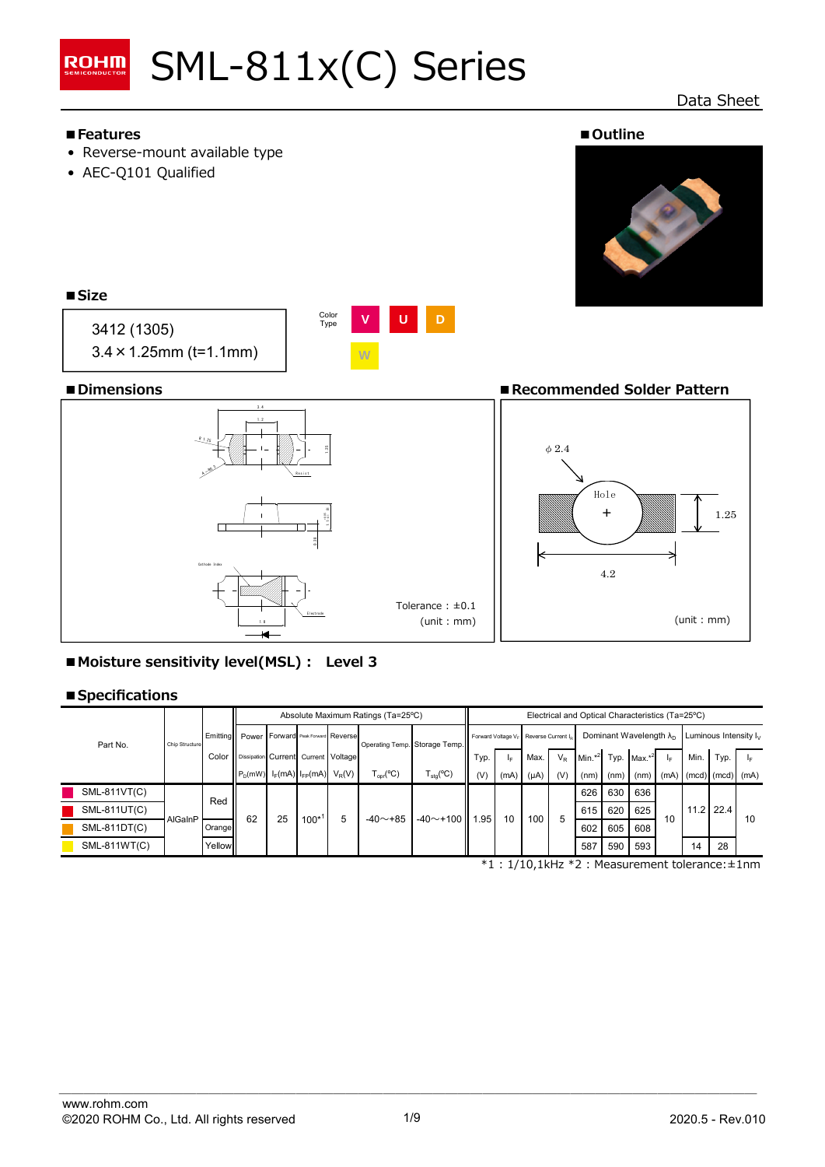

# Data Sheet



**■Moisture sensitivity level(MSL) : Level 3**

# **■Specifications**

|              | Chip Structure |        | Absolute Maximum Ratings (Ta=25°C)          |  |                        |          |                                                         |                               | Electrical and Optical Characteristics (Ta=25°C)              |      |           |       |                                   |      |           |                          |                           |      |    |
|--------------|----------------|--------|---------------------------------------------|--|------------------------|----------|---------------------------------------------------------|-------------------------------|---------------------------------------------------------------|------|-----------|-------|-----------------------------------|------|-----------|--------------------------|---------------------------|------|----|
| Part No.     |                |        | Emitting Power Forward Peak Forward Reverse |  |                        |          |                                                         | Operating Temp. Storage Temp. | Forward Voltage V <sub>E</sub> Reverse Current I <sub>6</sub> |      |           |       | Dominant Wavelength $\lambda_{D}$ |      |           | Luminous Intensity $I_V$ |                           |      |    |
|              |                | Color  | Dissipation Current Current Voltage         |  |                        |          |                                                         |                               | Typ.                                                          |      | Max.      | $V_R$ | Min. $*^2$ Typ.                   |      | $Max.*^2$ |                          | Min.                      | Typ. | ΙF |
|              |                |        | $P_D(mW)$                                   |  | $I_F(mA)$ $I_{FP}(mA)$ | $V_R(V)$ | $\mathsf{\Gamma}_{\mathsf{oor}}(\mathrm{^o}\mathrm{C})$ | $T_{\text{stq}}(^{\circ}C)$   | (V)                                                           | (mA) | $(\mu A)$ | (V)   | (nm)                              | (nm) | (nm)      |                          | $(mA)$ (mcd) $(mcd)$ (mA) |      |    |
| SML-811VT(C) | AlGaInP        |        | Red<br>62<br>25                             |  |                        | 5        | $-40$ ~+85                                              | $-40$ ~ +100 1.95             |                                                               |      | 100<br>5  |       | 626                               | 630  | 636       |                          | $11.2$ 22.4               |      |    |
| SML-811UT(C) |                |        |                                             |  | 100*                   |          |                                                         |                               |                                                               |      |           |       | 615                               | 620  | 625       |                          |                           |      |    |
| SML-811DT(C) |                | Orange |                                             |  |                        |          |                                                         |                               |                                                               | 10   |           |       | 602                               | 605  | 608       | 10                       |                           |      | 10 |
| SML-811WT(C) |                | Yellow |                                             |  |                        |          |                                                         |                               |                                                               |      |           |       | 587                               | 590  | 593       |                          | 14                        | 28   |    |

\*1 : 1/10,1kHz \*2 : Measurement tolerance:±1nm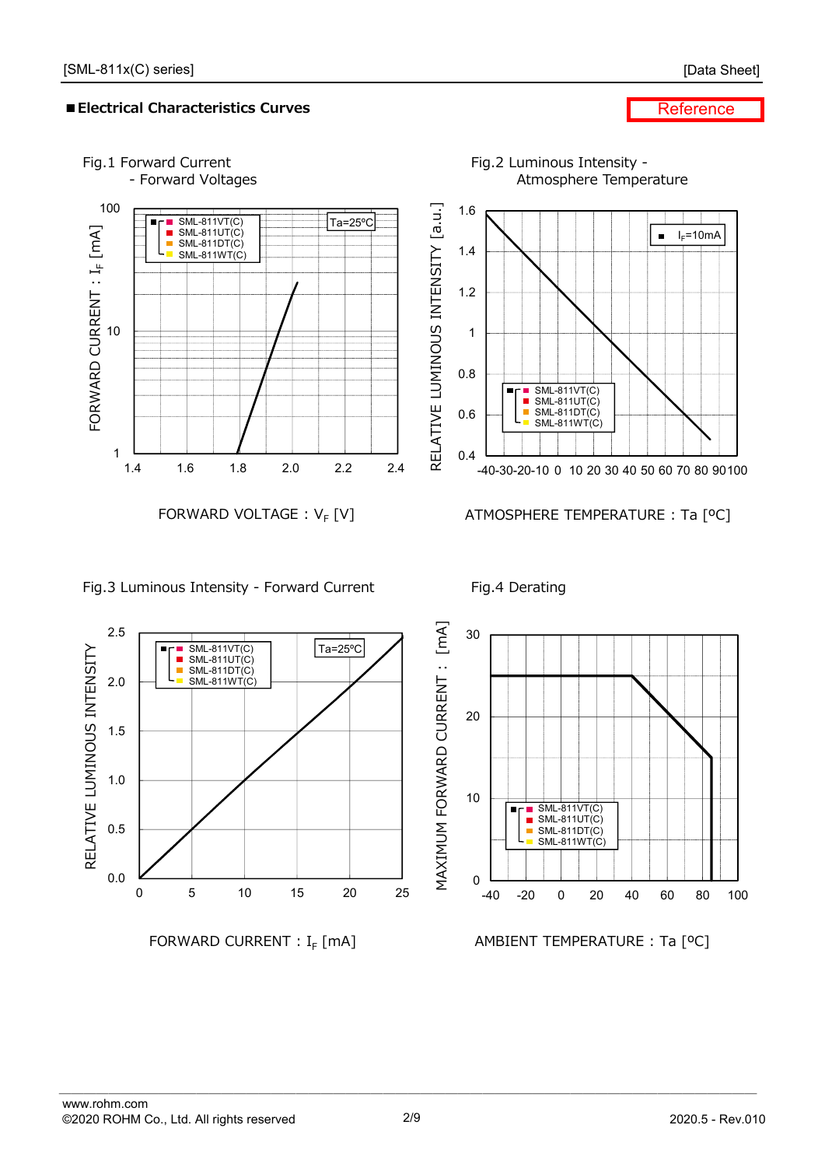# **■Electrical Characteristics Curves**

#### **Reference**



# Fig.3 Luminous Intensity - Forward Current Fig.4 Derating

 $\blacksquare$  SML-811VT(C) SML-811UT(C) SML-811DT(C) SML-811WT(C)

Н  $\blacksquare$ 



FORWARD CURRENT :  $I_F$  [mA]

 $\sqrt{Ta=25^{\circ}C}$ 

0 5 10 15 20 25

AMBIENT TEMPERATURE : Ta [ºC]

0.0

0.5

1.0

RELATIVE LUMINOUS INTENSITY

RELATIVE LUMINOUS INTENSITY

1.5

2.0

2.5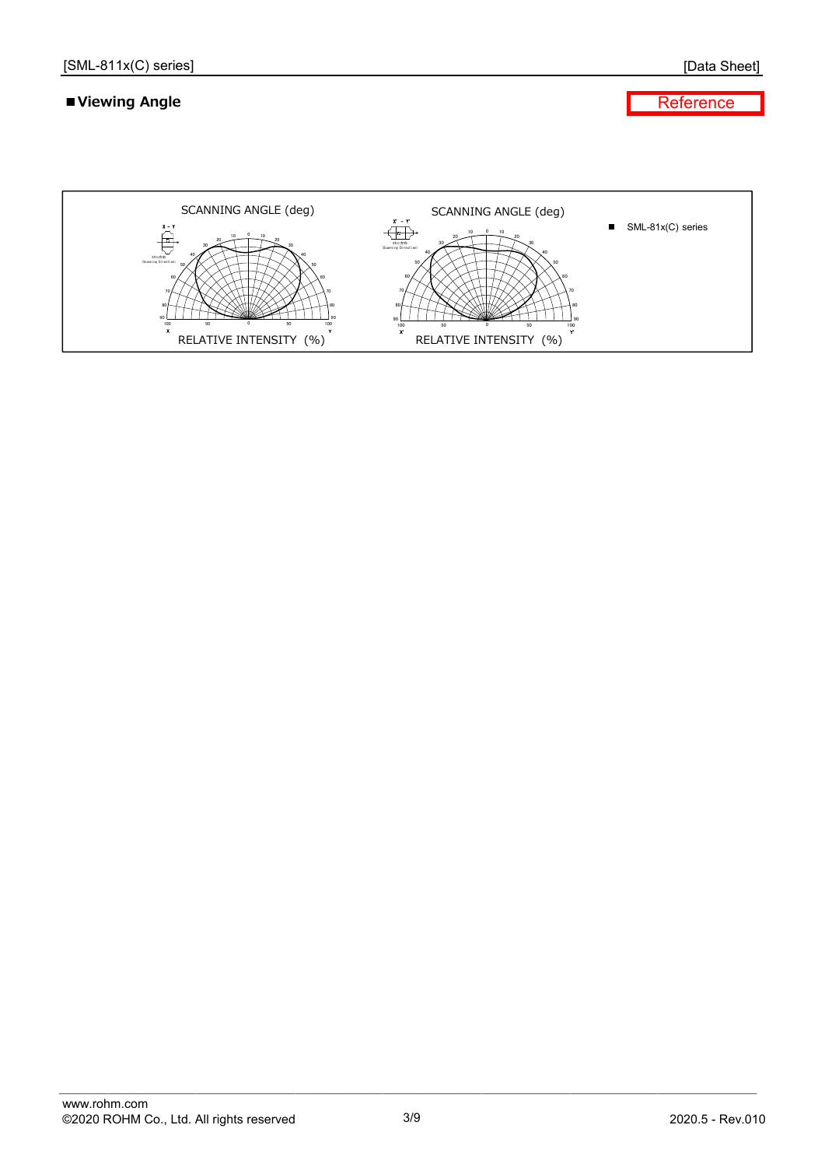# **■Viewing Angle**

[Data Sheet]

**Reference** 

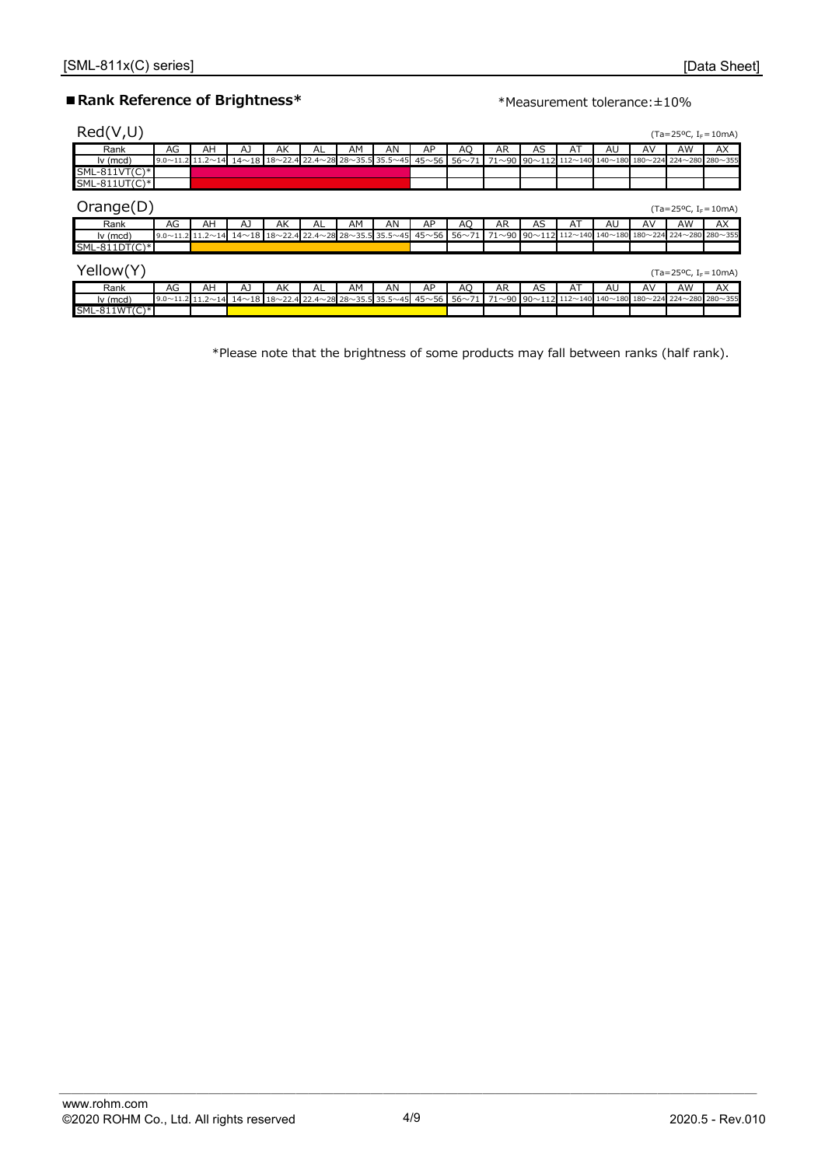# ■ Rank Reference of Brightness<sup>\*</sup> \*Measurement tolerance: ±10%

| Red(V,U)        |    |    |    |    |    |    |                                                                                                                                                                                                                                           |    |    |     |                                                      |    |    |    | $(Ta=25^{\circ}C, I_{F}=10^{\circ}m)$ |     |
|-----------------|----|----|----|----|----|----|-------------------------------------------------------------------------------------------------------------------------------------------------------------------------------------------------------------------------------------------|----|----|-----|------------------------------------------------------|----|----|----|---------------------------------------|-----|
| Rank            | AG | AH | AJ | AK | AL | AM | AN                                                                                                                                                                                                                                        | AP | AO | AR  | AS                                                   | AT | AU | AV | AW                                    | AX  |
| $lv$ (mcd)      |    |    |    |    |    |    | $9.0\sim$ 11.2 $11.2\sim$ 14 14 $\sim$ 18 18 $\sim$ 22.4 22.4 $\sim$ 28 28 $\sim$ 35.5 35.5 $\sim$ 45 45 $\sim$ 56 56 $\sim$ 71 71 $\sim$ 90 90 $\sim$ 112 112 $\sim$ 140 140 $\sim$ 180 180 $\sim$ 224 224 224 $\sim$ 280 280 $\sim$ 355 |    |    |     |                                                      |    |    |    |                                       |     |
| $SML-811VT(C)*$ |    |    |    |    |    |    |                                                                                                                                                                                                                                           |    |    |     |                                                      |    |    |    |                                       |     |
| $SML-811UT(C)*$ |    |    |    |    |    |    |                                                                                                                                                                                                                                           |    |    |     |                                                      |    |    |    |                                       |     |
| Orange(D)       |    |    |    |    |    |    |                                                                                                                                                                                                                                           |    |    |     |                                                      |    |    |    | $(Ta=25^{\circ}C, I_{F}=10^{\circ}A)$ |     |
| Rank            | AG | AΗ | AJ | AK | AL | AM | AN                                                                                                                                                                                                                                        | AP | AO | AR  | AS                                                   | AT | AU | AV | AW                                    | AX  |
| $Iv$ (mcd)      |    |    |    |    |    |    | $9.0 \times 11.2$ 11.2 $\sim$ 14 14 $\sim$ 18 18 $\sim$ 22.4 22.4 $\sim$ 28 28 $\sim$ 35.5 35.5 $\sim$ 45 45 $\sim$ 56 56 $\sim$ 71                                                                                                       |    |    |     | 71~90 90~112 112~140 140~180 180~224 224~280 280~355 |    |    |    |                                       |     |
| $SML-811DT(C)*$ |    |    |    |    |    |    |                                                                                                                                                                                                                                           |    |    |     |                                                      |    |    |    |                                       |     |
| Yellow(Y)       |    |    |    |    |    |    |                                                                                                                                                                                                                                           |    |    |     |                                                      |    |    |    | $(Ta=25^{\circ}C, I_{F}=10^{\circ}A)$ |     |
| Rank            | AG | AH | AJ | AK | AL | AM | AN                                                                                                                                                                                                                                        | AP | AO | AR. | AS                                                   | AT | AU | AV | AW                                    | AX. |
| $lv$ (mcd)      |    |    |    |    |    |    | 9.0~11.2 11.2~14 14~18 18~22.4 22.4~28 28~35.5 35.5~45 45~56 56~71 71~90 90~112 112~140 140~180 180~224 224~280 280~355                                                                                                                   |    |    |     |                                                      |    |    |    |                                       |     |
| $SML-811WT(C)*$ |    |    |    |    |    |    |                                                                                                                                                                                                                                           |    |    |     |                                                      |    |    |    |                                       |     |

\*Please note that the brightness of some products may fall between ranks (half rank).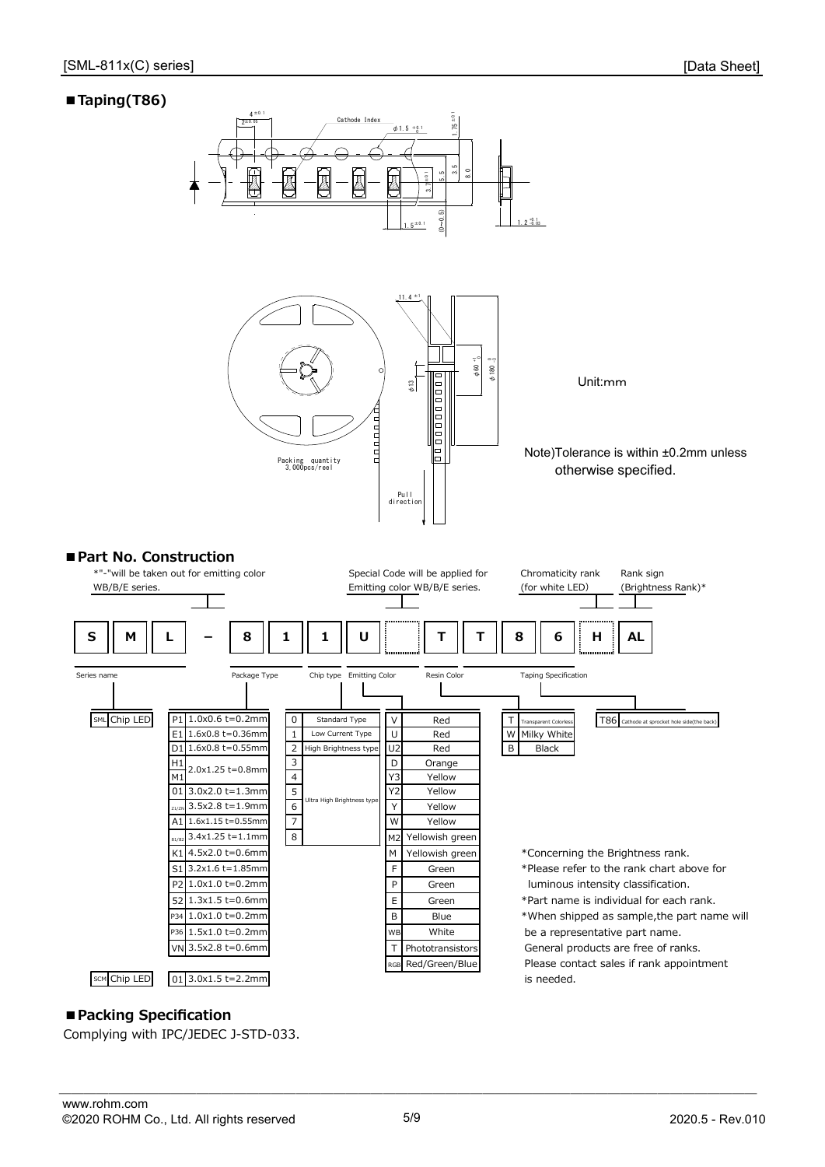# **■Taping(T86)**



# **■Packing Specification**

Complying with IPC/JEDEC J-STD-033.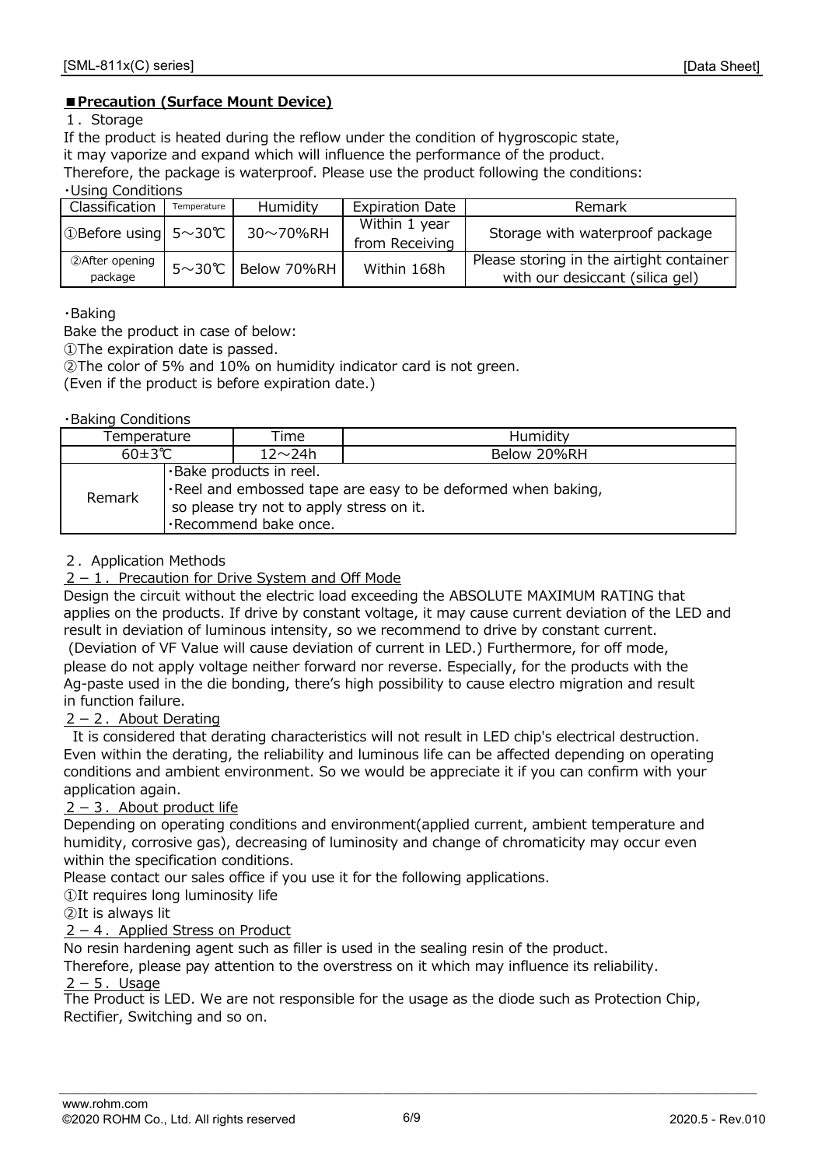#### **■Precaution (Surface Mount Device)**

#### 1.Storage

If the product is heated during the reflow under the condition of hygroscopic state,

it may vaporize and expand which will influence the performance of the product.

Therefore, the package is waterproof. Please use the product following the conditions:

・Using Conditions

| Classification               | Temperature  | Humidity    | <b>Expiration Date</b> | Remark                                   |  |  |  |  |
|------------------------------|--------------|-------------|------------------------|------------------------------------------|--|--|--|--|
| ①Before using $5 \sim 30$ °C |              | 30~70%RH    | Within 1 year          | Storage with waterproof package          |  |  |  |  |
|                              |              |             | from Receiving         |                                          |  |  |  |  |
| 2 After opening              | $5~\sim$ 30℃ | Below 70%RH | Within 168h            | Please storing in the airtight container |  |  |  |  |
| package                      |              |             |                        | with our desiccant (silica gel)          |  |  |  |  |

#### ・Baking

Bake the product in case of below:

①The expiration date is passed.

②The color of 5% and 10% on humidity indicator card is not green.

(Even if the product is before expiration date.)

#### ・Baking Conditions

| Temperature   |                                                                                                                                                                     | Time          | Humidity    |  |  |  |
|---------------|---------------------------------------------------------------------------------------------------------------------------------------------------------------------|---------------|-------------|--|--|--|
| $60 \pm 3$ °C |                                                                                                                                                                     | $12 \sim 24h$ | Below 20%RH |  |  |  |
| Remark        | .Bake products in reel.<br>$\cdot$ Reel and embossed tape are easy to be deformed when baking,<br>so please try not to apply stress on it.<br>·Recommend bake once. |               |             |  |  |  |

#### 2.Application Methods

#### $2-1$ . Precaution for Drive System and Off Mode

Design the circuit without the electric load exceeding the ABSOLUTE MAXIMUM RATING that applies on the products. If drive by constant voltage, it may cause current deviation of the LED and result in deviation of luminous intensity, so we recommend to drive by constant current.

please do not apply voltage neither forward nor reverse. Especially, for the products with the Ag-paste used in the die bonding, there's high possibility to cause electro migration and result (Deviation of VF Value will cause deviation of current in LED.) Furthermore, for off mode, in function failure.

#### $2 - 2$ . About Derating

 It is considered that derating characteristics will not result in LED chip's electrical destruction. Even within the derating, the reliability and luminous life can be affected depending on operating conditions and ambient environment. So we would be appreciate it if you can confirm with your application again.

#### $2 - 3$ . About product life

Depending on operating conditions and environment(applied current, ambient temperature and humidity, corrosive gas), decreasing of luminosity and change of chromaticity may occur even within the specification conditions.

Please contact our sales office if you use it for the following applications.

①It requires long luminosity life

②It is always lit

#### $2 - 4$ . Applied Stress on Product

No resin hardening agent such as filler is used in the sealing resin of the product.

Therefore, please pay attention to the overstress on it which may influence its reliability.

#### $2-5$ . Usage

The Product is LED. We are not responsible for the usage as the diode such as Protection Chip, Rectifier, Switching and so on.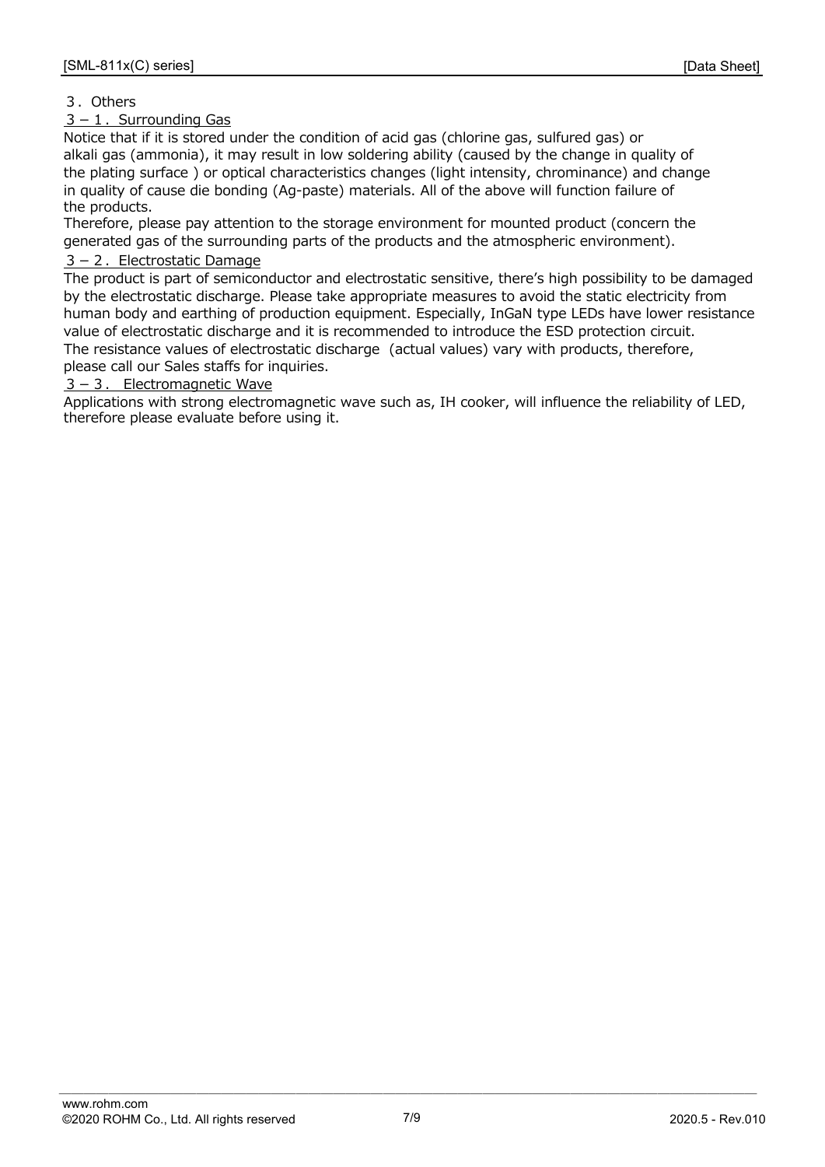#### 3.Others

#### $3-1$ . Surrounding Gas

Notice that if it is stored under the condition of acid gas (chlorine gas, sulfured gas) or alkali gas (ammonia), it may result in low soldering ability (caused by the change in quality of the plating surface ) or optical characteristics changes (light intensity, chrominance) and change in quality of cause die bonding (Ag-paste) materials. All of the above will function failure of the products.

Therefore, please pay attention to the storage environment for mounted product (concern the generated gas of the surrounding parts of the products and the atmospheric environment).

#### $3 - 2$ . Electrostatic Damage

The product is part of semiconductor and electrostatic sensitive, there's high possibility to be damaged by the electrostatic discharge. Please take appropriate measures to avoid the static electricity from human body and earthing of production equipment. Especially, InGaN type LEDs have lower resistance value of electrostatic discharge and it is recommended to introduce the ESD protection circuit. The resistance values of electrostatic discharge (actual values) vary with products, therefore, please call our Sales staffs for inquiries.

 $3 - 3$ . Electromagnetic Wave

Applications with strong electromagnetic wave such as, IH cooker, will influence the reliability of LED, therefore please evaluate before using it.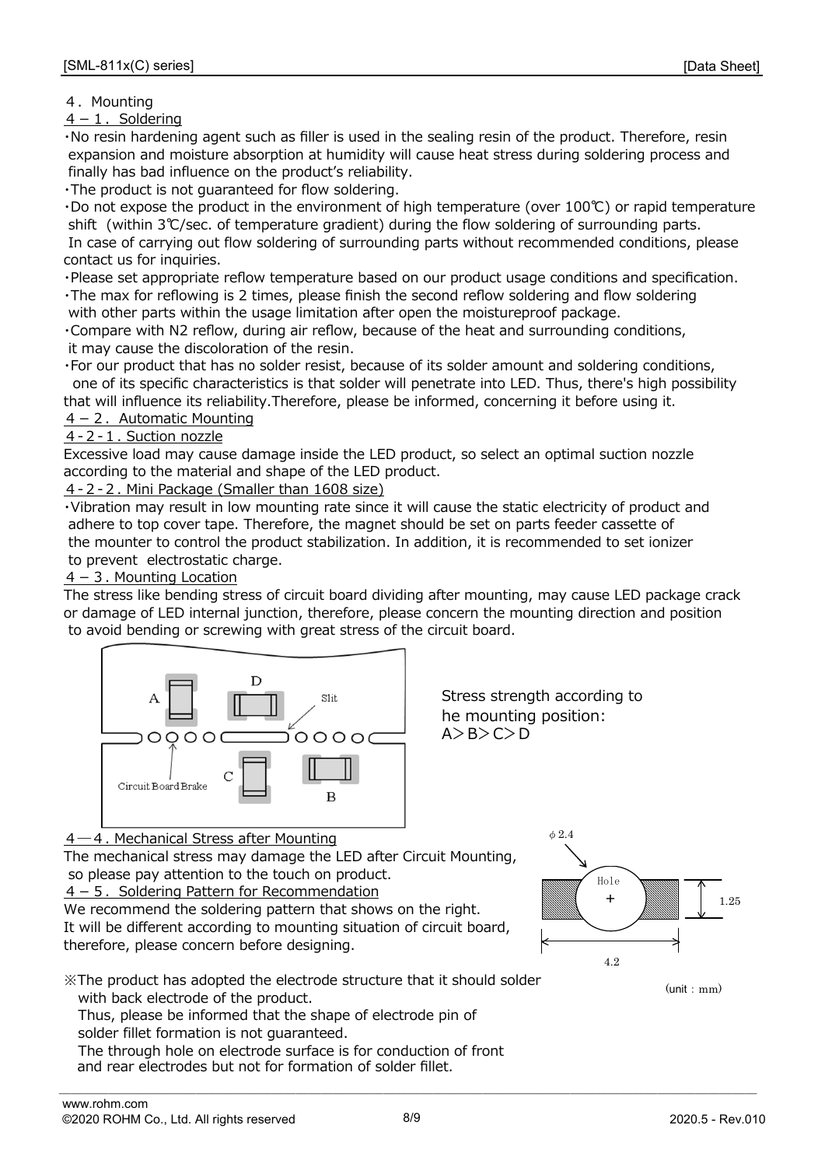### 4. Mounting

 $4-1$ . Soldering

・No resin hardening agent such as filler is used in the sealing resin of the product. Therefore, resin expansion and moisture absorption at humidity will cause heat stress during soldering process and finally has bad influence on the product's reliability.

・The product is not guaranteed for flow soldering.

・Do not expose the product in the environment of high temperature (over 100℃) or rapid temperature shift (within 3℃/sec. of temperature gradient) during the flow soldering of surrounding parts. In case of carrying out flow soldering of surrounding parts without recommended conditions, please contact us for inquiries.

・Please set appropriate reflow temperature based on our product usage conditions and specification.

・The max for reflowing is 2 times, please finish the second reflow soldering and flow soldering with other parts within the usage limitation after open the moistureproof package.

・Compare with N2 reflow, during air reflow, because of the heat and surrounding conditions, it may cause the discoloration of the resin.

・For our product that has no solder resist, because of its solder amount and soldering conditions, one of its specific characteristics is that solder will penetrate into LED. Thus, there's high possibility that will influence its reliability.Therefore, please be informed, concerning it before using it.

### $4-2$ . Automatic Mounting

#### 4-2-1. Suction nozzle

Excessive load may cause damage inside the LED product, so select an optimal suction nozzle according to the material and shape of the LED product.

4-2-2. Mini Package (Smaller than 1608 size)

 to prevent electrostatic charge. the mounter to control the product stabilization. In addition, it is recommended to set ionizer ・Vibration may result in low mounting rate since it will cause the static electricity of product and adhere to top cover tape. Therefore, the magnet should be set on parts feeder cassette of

#### $4-3$ . Mounting Location

The stress like bending stress of circuit board dividing after mounting, may cause LED package crack or damage of LED internal junction, therefore, please concern the mounting direction and position to avoid bending or screwing with great stress of the circuit board.



Stress strength according to he mounting position: A>B>C>D

# 4 – 4. Mechanical Stress after Mounting

 so please pay attention to the touch on product. The mechanical stress may damage the LED after Circuit Mounting,

 $4-5$ . Soldering Pattern for Recommendation

We recommend the soldering pattern that shows on the right. It will be different according to mounting situation of circuit board, therefore, please concern before designing.

※The product has adopted the electrode structure that it should solder with back electrode of the product.

Thus, please be informed that the shape of electrode pin of solder fillet formation is not guaranteed.

The through hole on electrode surface is for conduction of front and rear electrodes but not for formation of solder fillet.



 $(\text{unit} \cdot \text{mm})$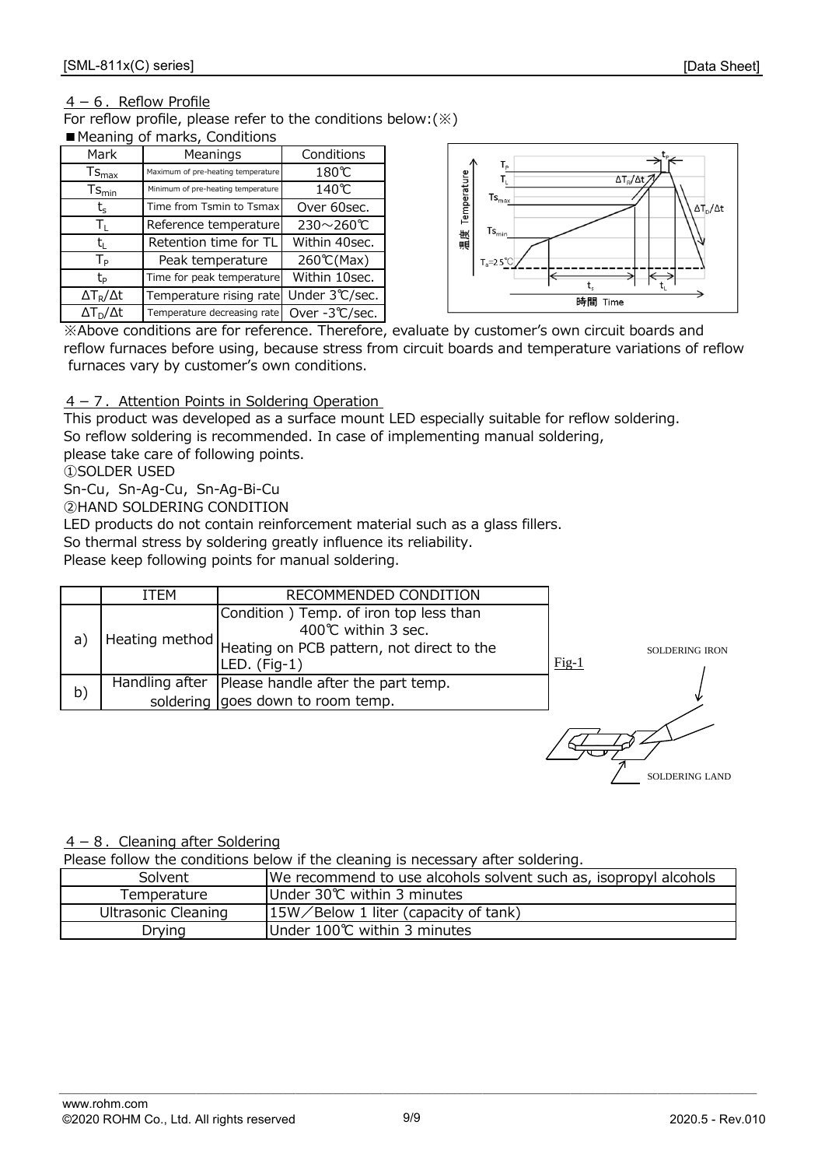#### $4-6$ . Reflow Profile

For reflow profile, please refer to the conditions below:(※) ■ Meaning of marks, Conditions

| Mark                  | Meanings                           | Conditions    |  |  |  |  |  |  |
|-----------------------|------------------------------------|---------------|--|--|--|--|--|--|
| $Ts_{\text{max}}$     | Maximum of pre-heating temperature | 180℃          |  |  |  |  |  |  |
| $Ts_{\text{min}}$     | Minimum of pre-heating temperature | 140℃          |  |  |  |  |  |  |
| $t_{\rm s}$           | Time from Tsmin to Tsmax           | Over 60sec.   |  |  |  |  |  |  |
| Τī.                   | Reference temperature              | 230~260℃      |  |  |  |  |  |  |
| t.                    | Retention time for TL              | Within 40sec. |  |  |  |  |  |  |
| $T_{\sf p}$           | Peak temperature                   | 260℃(Max)     |  |  |  |  |  |  |
| tь                    | Time for peak temperature          | Within 10sec. |  |  |  |  |  |  |
| $\Delta T_R/\Delta t$ | Temperature rising rate            | Under 3℃/sec. |  |  |  |  |  |  |
| $\Delta T_D/\Delta t$ | Temperature decreasing rate        | Over -3℃/sec. |  |  |  |  |  |  |



 furnaces vary by customer's own conditions. ※Above conditions are for reference. Therefore, evaluate by customer's own circuit boards and reflow furnaces before using, because stress from circuit boards and temperature variations of reflow

#### $4 - 7$ . Attention Points in Soldering Operation

This product was developed as a surface mount LED especially suitable for reflow soldering. So reflow soldering is recommended. In case of implementing manual soldering,

please take care of following points.

①SOLDER USED

Sn-Cu, Sn-Ag-Cu, Sn-Ag-Bi-Cu

②HAND SOLDERING CONDITION

So thermal stress by soldering greatly influence its reliability. LED products do not contain reinforcement material such as a glass fillers.

Please keep following points for manual soldering.

|    | ITEM           | RECOMMENDED CONDITION                                                                                                       |                           |
|----|----------------|-----------------------------------------------------------------------------------------------------------------------------|---------------------------|
| a) | Heating method | Condition) Temp. of iron top less than<br>400℃ within 3 sec.<br>Heating on PCB pattern, not direct to the<br>$LED.$ (Fig-1) | SOLDERING IRON<br>$Fig-1$ |
| b) |                | Handling after   Please handle after the part temp.<br>soldering goes down to room temp.                                    |                           |
|    |                |                                                                                                                             |                           |

 $4-8$ . Cleaning after Soldering

Please follow the conditions below if the cleaning is necessary after soldering.

| Solvent             | We recommend to use alcohols solvent such as, isopropyl alcohols |  |  |  |  |  |
|---------------------|------------------------------------------------------------------|--|--|--|--|--|
| Temperature         | IUnder 30℃ within 3 minutes                                      |  |  |  |  |  |
| Ultrasonic Cleaning | $15W/$ Below 1 liter (capacity of tank)                          |  |  |  |  |  |
| Drying              | Under 100℃ within 3 minutes                                      |  |  |  |  |  |

 $\overline{\phantom{a}}$  ,  $\overline{\phantom{a}}$  ,  $\overline{\phantom{a}}$  ,  $\overline{\phantom{a}}$  ,  $\overline{\phantom{a}}$  ,  $\overline{\phantom{a}}$  ,  $\overline{\phantom{a}}$  ,  $\overline{\phantom{a}}$  ,  $\overline{\phantom{a}}$  ,  $\overline{\phantom{a}}$  ,  $\overline{\phantom{a}}$  ,  $\overline{\phantom{a}}$  ,  $\overline{\phantom{a}}$  ,  $\overline{\phantom{a}}$  ,  $\overline{\phantom{a}}$  ,  $\overline{\phantom{a}}$ 

SOLDERING LAND